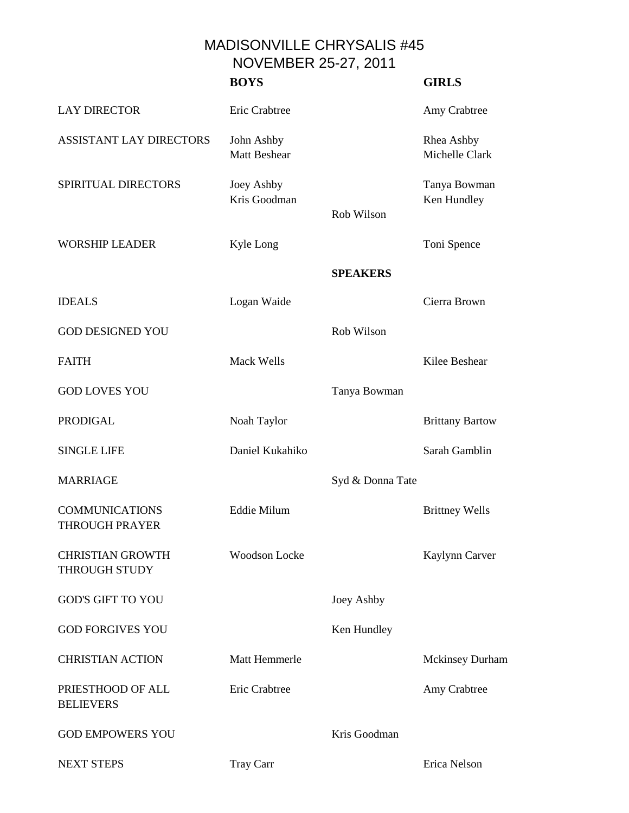MADISONVILLE CHRYSALIS #45 NOVEMBER 25-27, 2011

|                                                 | <b>BOYS</b>                       |                  | <b>GIRLS</b>                 |
|-------------------------------------------------|-----------------------------------|------------------|------------------------------|
| <b>LAY DIRECTOR</b>                             | Eric Crabtree                     |                  | Amy Crabtree                 |
| <b>ASSISTANT LAY DIRECTORS</b>                  | John Ashby<br><b>Matt Beshear</b> |                  | Rhea Ashby<br>Michelle Clark |
| SPIRITUAL DIRECTORS                             | Joey Ashby<br>Kris Goodman        | Rob Wilson       | Tanya Bowman<br>Ken Hundley  |
| <b>WORSHIP LEADER</b>                           | Kyle Long                         |                  | Toni Spence                  |
|                                                 |                                   | <b>SPEAKERS</b>  |                              |
| <b>IDEALS</b>                                   | Logan Waide                       |                  | Cierra Brown                 |
| <b>GOD DESIGNED YOU</b>                         |                                   | Rob Wilson       |                              |
| <b>FAITH</b>                                    | <b>Mack Wells</b>                 |                  | Kilee Beshear                |
| <b>GOD LOVES YOU</b>                            |                                   | Tanya Bowman     |                              |
| <b>PRODIGAL</b>                                 | Noah Taylor                       |                  | <b>Brittany Bartow</b>       |
| <b>SINGLE LIFE</b>                              | Daniel Kukahiko                   |                  | Sarah Gamblin                |
| <b>MARRIAGE</b>                                 |                                   | Syd & Donna Tate |                              |
| <b>COMMUNICATIONS</b><br><b>THROUGH PRAYER</b>  | <b>Eddie Milum</b>                |                  | <b>Brittney Wells</b>        |
| <b>CHRISTIAN GROWTH</b><br><b>THROUGH STUDY</b> | Woodson Locke                     |                  | Kaylynn Carver               |
| <b>GOD'S GIFT TO YOU</b>                        |                                   | Joey Ashby       |                              |
| <b>GOD FORGIVES YOU</b>                         |                                   | Ken Hundley      |                              |
| <b>CHRISTIAN ACTION</b>                         | Matt Hemmerle                     |                  | <b>Mckinsey Durham</b>       |
| PRIESTHOOD OF ALL<br><b>BELIEVERS</b>           | Eric Crabtree                     |                  | Amy Crabtree                 |
| <b>GOD EMPOWERS YOU</b>                         |                                   | Kris Goodman     |                              |
| <b>NEXT STEPS</b>                               | Tray Carr                         |                  | Erica Nelson                 |